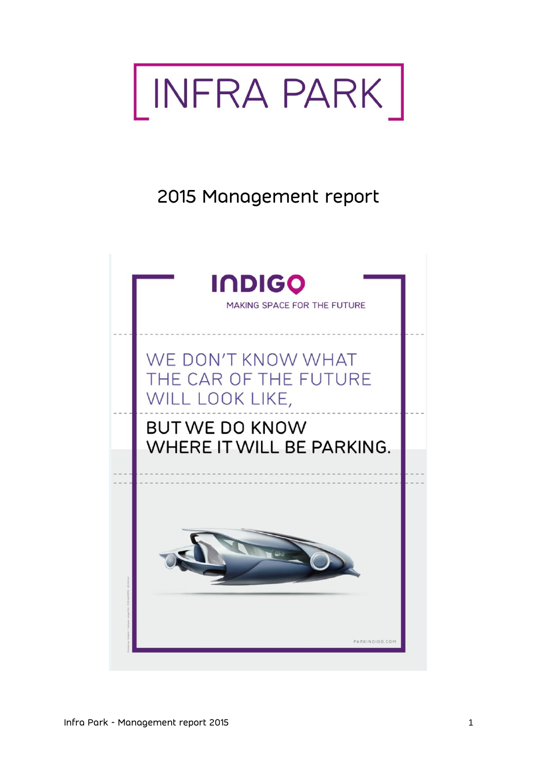

# 2015 Management report

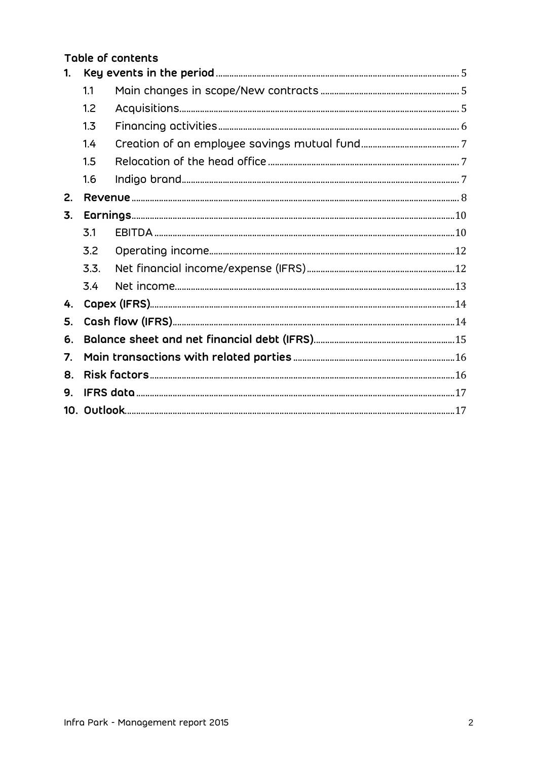|                |      | Table of contents |  |  |  |
|----------------|------|-------------------|--|--|--|
| $\mathbf{1}$ . |      |                   |  |  |  |
|                | 1.1  |                   |  |  |  |
|                | 1.2  |                   |  |  |  |
|                | 1.3  |                   |  |  |  |
|                | 1.4  |                   |  |  |  |
|                | 1.5  |                   |  |  |  |
|                | 1.6  |                   |  |  |  |
| 2.             |      |                   |  |  |  |
| 3.             |      |                   |  |  |  |
|                | 3.1  |                   |  |  |  |
|                | 3.2  |                   |  |  |  |
|                | 3.3. |                   |  |  |  |
|                | 3.4  |                   |  |  |  |
| 4.             |      |                   |  |  |  |
| 5.             |      |                   |  |  |  |
| 6.             |      |                   |  |  |  |
| 7.             |      |                   |  |  |  |
| 8.             |      |                   |  |  |  |
| 9.             |      |                   |  |  |  |
|                |      |                   |  |  |  |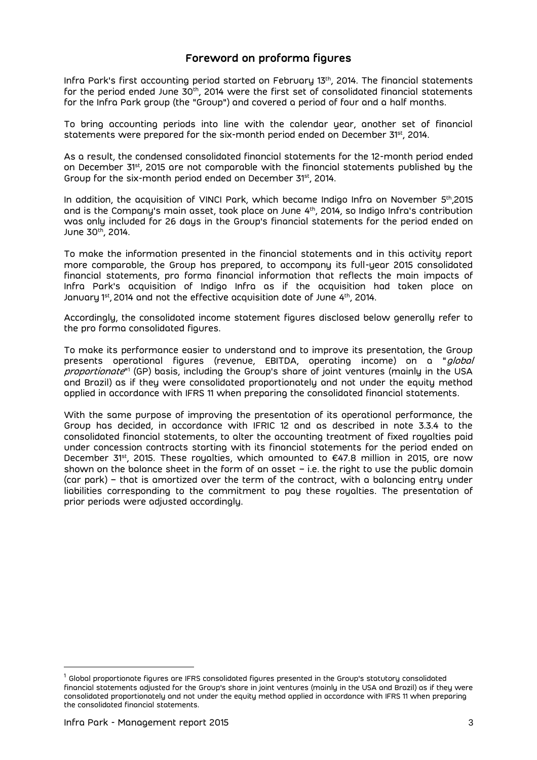### **Foreword on proforma figures**

Infra Park's first accounting period started on February 13th, 2014. The financial statements for the period ended June 30 $^{\rm th}$ , 2014 were the first set of consolidated financial statements for the Infra Park group (the "Group") and covered a period of four and a half months.

To bring accounting periods into line with the calendar year, another set of financial statements were prepared for the six-month period ended on December 31st , 2014.

As a result, the condensed consolidated financial statements for the 12-month period ended on December 31st, 2015 are not comparable with the financial statements published by the Group for the six-month period ended on December 31st , 2014.

In addition, the acquisition of VINCI Park, which became Indigo Infra on November 5 th ,2015 and is the Company's main asset, took place on June 4<sup>th</sup>, 2014, so Indigo Infra's contribution was only included for 26 days in the Group's financial statements for the period ended on June 30<sup>th</sup>, 2014.

To make the information presented in the financial statements and in this activity report more comparable, the Group has prepared, to accompany its full-year 2015 consolidated financial statements, pro forma financial information that reflects the main impacts of Infra Park's acquisition of Indigo Infra as if the acquisition had taken place on January 1st, 2014 and not the effective acquisition date of June 4th, 2014. J

Accordingly, the consolidated income statement figures disclosed below generally refer to the pro forma consolidated figures.

To make its performance easier to understand and to improve its presentation, the Group presents operational figures (revenue, EBITDA, operating income) on a "global *proportionate*"' (GP) basis, including the Group's share of joint ventures (mainly in the USA and Brazil) as if they were consolidated proportionately and not under the equity method applied in accordance with IFRS 11 when preparing the consolidated financial statements.

With the same purpose of improving the presentation of its operational performance, the Group has decided, in accordance with IFRIC 12 and as described in note 3.3.4 to the consolidated financial statements, to alter the accounting treatment of fixed royalties paid under concession contracts starting with its financial statements for the period ended on December 31st, 2015. These royalties, which amounted to  $\epsilon$ 47.8 million in 2015, are now shown on the balance sheet in the form of an asset  $-$  i.e. the right to use the public domain (car park) – that is amortized over the term of the contract, with a balancing entry under liabilities corresponding to the commitment to pay these royalties. The presentation of prior periods were adjusted accordingly.

 $\overline{a}$ 

 $^{\rm 1}$  Global proportionate figures are IFRS consolidated figures presented in the Group's statutory consolidated financial statements adjusted for the Group's share in joint ventures (mainly in the USA and Brazil) as if they were consolidated proportionately and not under the equity method applied in accordance with IFRS 11 when preparing the consolidated financial statements.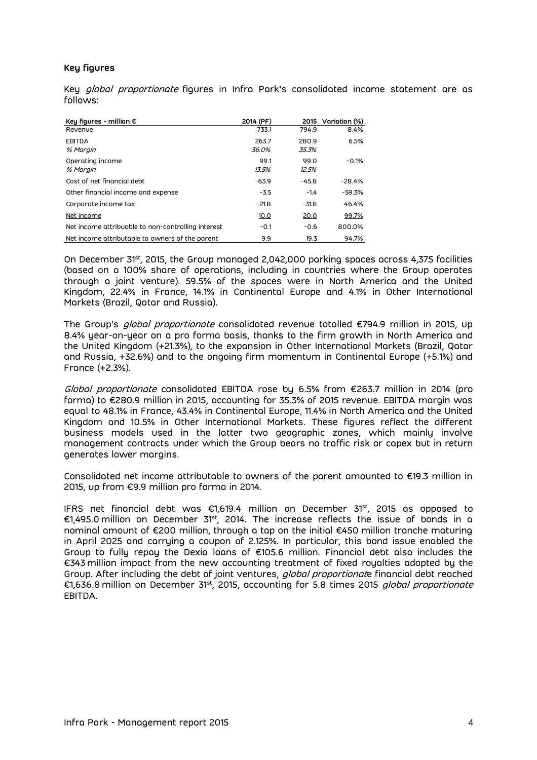#### **Key figures**

Key global proportionate figures in Infra Park's consolidated income statement are as follows:

| Key figures - million $\epsilon$                   | 2014 (PF)      | 2015           | Variation (%) |
|----------------------------------------------------|----------------|----------------|---------------|
| Revenue                                            | 733.1          | 794.9          | 8.4%          |
| <b>EBITDA</b><br>% Margin                          | 263.7<br>36.0% | 280.9<br>35.3% | 6.5%          |
| Operating income<br>% Margin                       | 99.1<br>13.5%  | 99.0<br>12.5%  | $-0.1%$       |
| Cost of net financial debt                         | $-63.9$        | $-45.8$        | $-28.4%$      |
| Other financial income and expense                 | $-3.5$         | $-1.4$         | $-59.3%$      |
| Corporate income tax                               | $-21.8$        | $-31.8$        | 46.4%         |
| Net income                                         | 10.0           | 20.0           | 99.7%         |
| Net income attribuable to non-controlling interest | $-0.1$         | $-0.6$         | 800.0%        |
| Net income attributable to owners of the parent    | 9.9            | 19.3           | 94.7%         |

On December 31st, 2015, the Group managed 2,042,000 parking spaces across 4,375 facilities (based on a 100% share of operations, including in countries where the Group operates through a joint venture). 59.5% of the spaces were in North America and the United Kingdom, 22.4% in France, 14.1% in Continental Europe and 4.1% in Other International Markets (Brazil, Qatar and Russia).

The Group's global proportionate consolidated revenue totalled €794.9 million in 2015, up 8.4% year-on-year on a pro forma basis, thanks to the firm growth in North America and the United Kingdom (+21.3%), to the expansion in Other International Markets (Brazil, Qatar and Russia, +32.6%) and to the ongoing firm momentum in Continental Europe (+5.1%) and France (+2.3%).

Global proportionate consolidated EBITDA rose by 6.5% from €263.7 million in 2014 (pro forma) to €280.9 million in 2015, accounting for 35.3% of 2015 revenue. EBITDA margin was equal to 48.1% in France, 43.4% in Continental Europe, 11.4% in North America and the United Kingdom and 10.5% in Other International Markets. These figures reflect the different business models used in the latter two geographic zones, which mainly involve management contracts under which the Group bears no traffic risk or capex but in return generates lower margins.

Consolidated net income attributable to owners of the parent amounted to €19.3 million in 2015, up from €9.9 million pro forma in 2014.

IFRS net financial debt was €1,619.4 million on December 31 $^{\rm st}$ , 2015 as opposed to €1,495.0 million on December 31 $^{\rm st}$ , 2014. The increase reflects the issue of bonds in a nominal amount of €200 million, through a tap on the initial €450 million tranche maturing in April 2025 and carrying a coupon of 2.125%. In particular, this bond issue enabled the Group to fully repay the Dexia loans of €105.6 million. Financial debt also includes the €343 million impact from the new accounting treatment of fixed royalties adopted by the Group. After including the debt of joint ventures, global proportionate financial debt reached €1,636.8 million on December 31st, 2015, accounting for 5.8 times 2015 *global proportionate* EBITDA.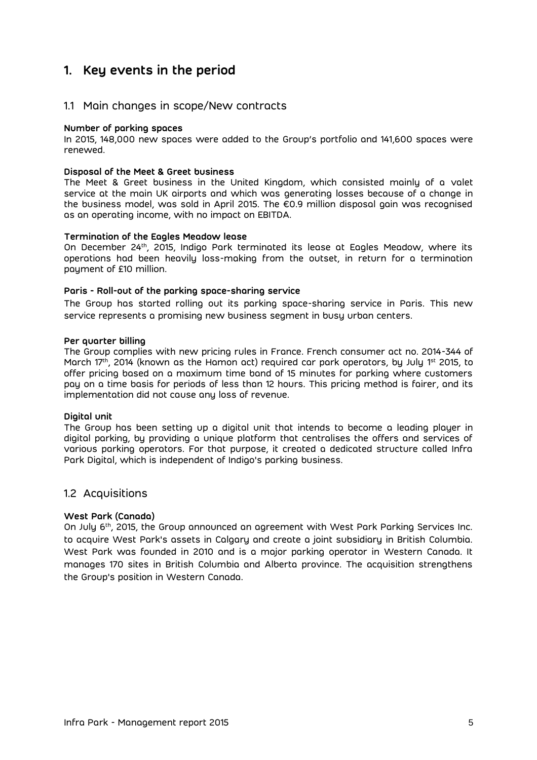# <span id="page-4-0"></span>**1. Key events in the period**

### <span id="page-4-1"></span>1.1 Main changes in scope/New contracts

#### **Number of parking spaces**

In 2015, 148,000 new spaces were added to the Group's portfolio and 141,600 spaces were renewed.

#### **Disposal of the Meet & Greet business**

The Meet & Greet business in the United Kingdom, which consisted mainly of a valet service at the main UK airports and which was generating losses because of a change in the business model, was sold in April 2015. The €0.9 million disposal gain was recognised as an operating income, with no impact on EBITDA.

#### **Termination of the Eagles Meadow lease**

On December 24<sup>th</sup>, 2015, Indigo Park terminated its lease at Eagles Meadow, where its operations had been heavily loss-making from the outset, in return for a termination payment of £10 million.

#### **Paris - Roll-out of the parking space-sharing service**

The Group has started rolling out its parking space-sharing service in Paris. This new service represents a promising new business segment in busy urban centers.

#### **Per quarter billing**

The Group complies with new pricing rules in France. French consumer act no. 2014-344 of March 17<sup>th</sup>, 2014 (known as the Hamon act) required car park operators, by July 1<sup>st</sup> 2015, to offer pricing based on a maximum time band of 15 minutes for parking where customers pay on a time basis for periods of less than 12 hours. This pricing method is fairer, and its implementation did not cause any loss of revenue.

#### **Digital unit**

The Group has been setting up a digital unit that intends to become a leading player in digital parking, by providing a unique platform that centralises the offers and services of various parking operators. For that purpose, it created a dedicated structure called Infra Park Digital, which is independent of Indigo's parking business.

### <span id="page-4-2"></span>1.2 Acquisitions

#### **West Park (Canada)**

On July 6<sup>th</sup>, 2015, the Group announced an agreement with West Park Parking Services Inc. to acquire West Park's assets in Calgary and create a joint subsidiary in British Columbia. West Park was founded in 2010 and is a major parking operator in Western Canada. It manages 170 sites in British Columbia and Alberta province. The acquisition strengthens the Group's position in Western Canada.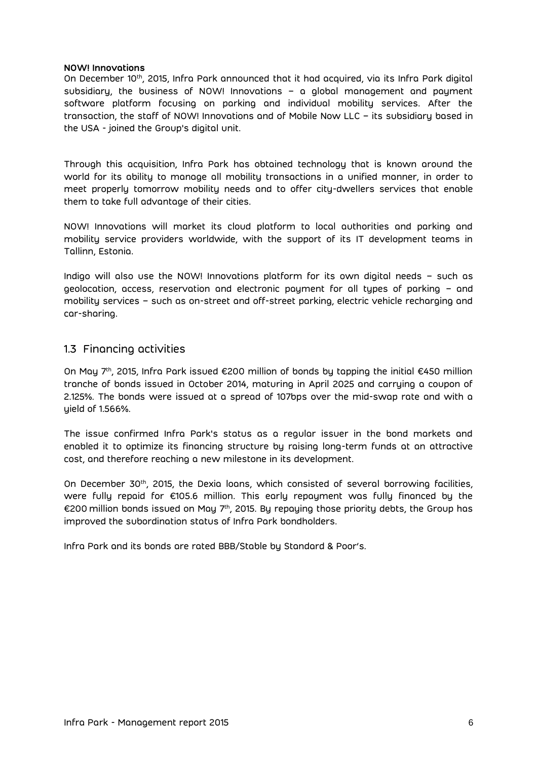#### **NOW! Innovations**

On December 10<sup>th</sup>, 2015, Infra Park announced that it had acquired, via its Infra Park digital subsidiary, the business of NOW! Innovations – a global management and payment software platform focusing on parking and individual mobility services. After the transaction, the staff of NOW! Innovations and of Mobile Now LLC – its subsidiary based in the USA - joined the Group's digital unit.

Through this acquisition, Infra Park has obtained technology that is known around the world for its ability to manage all mobility transactions in a unified manner, in order to meet properly tomorrow mobility needs and to offer city-dwellers services that enable them to take full advantage of their cities.

NOW! Innovations will market its cloud platform to local authorities and parking and mobility service providers worldwide, with the support of its IT development teams in Tallinn, Estonia.

Indigo will also use the NOW! Innovations platform for its own digital needs – such as geolocation, access, reservation and electronic payment for all types of parking – and mobility services – such as on-street and off-street parking, electric vehicle recharging and car-sharing.

### <span id="page-5-0"></span>1.3 Financing activities

On May 7th, 2015, Infra Park issued €200 million of bonds by tapping the initial €450 million tranche of bonds issued in October 2014, maturing in April 2025 and carrying a coupon of 2.125%. The bonds were issued at a spread of 107bps over the mid-swap rate and with a yield of 1.566%.

The issue confirmed Infra Park's status as a regular issuer in the bond markets and enabled it to optimize its financing structure by raising long-term funds at an attractive cost, and therefore reaching a new milestone in its development.

On December 30th, 2015, the Dexia loans, which consisted of several borrowing facilities, were fully repaid for €105.6 million. This early repayment was fully financed by the €200 million bonds issued on May 7ʰ, 2015. By repaying those priority debts, the Group has improved the subordination status of Infra Park bondholders.

Infra Park and its bonds are rated BBB/Stable by Standard & Poor's.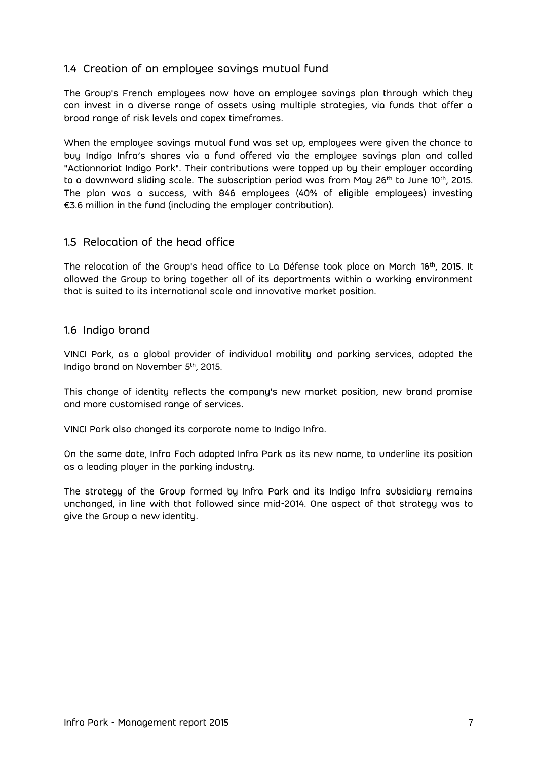## <span id="page-6-0"></span>1.4 Creation of an employee savings mutual fund

The Group's French employees now have an employee savings plan through which they can invest in a diverse range of assets using multiple strategies, via funds that offer a broad range of risk levels and capex timeframes.

When the employee savings mutual fund was set up, employees were given the chance to buy Indigo Infra's shares via a fund offered via the employee savings plan and called "Actionnariat Indigo Park". Their contributions were topped up by their employer according to a downward sliding scale. The subscription period was from May 26 $^{\rm th}$  to June 10 $^{\rm th}$ , 2015. The plan was a success, with 846 employees (40% of eligible employees) investing €3.6 million in the fund (including the employer contribution).

### <span id="page-6-1"></span>1.5 Relocation of the head office

The relocation of the Group's head office to La Défense took place on March 16<sup>th</sup>, 2015. It allowed the Group to bring together all of its departments within a working environment that is suited to its international scale and innovative market position.

### <span id="page-6-2"></span>1.6 Indigo brand

VINCI Park, as a global provider of individual mobility and parking services, adopted the Indigo brand on November 5th, 2015.

This change of identity reflects the company's new market position, new brand promise and more customised range of services.

VINCI Park also changed its corporate name to Indigo Infra.

On the same date, Infra Foch adopted Infra Park as its new name, to underline its position as a leading player in the parking industry.

The strategy of the Group formed by Infra Park and its Indigo Infra subsidiary remains unchanged, in line with that followed since mid-2014. One aspect of that strategy was to give the Group a new identity.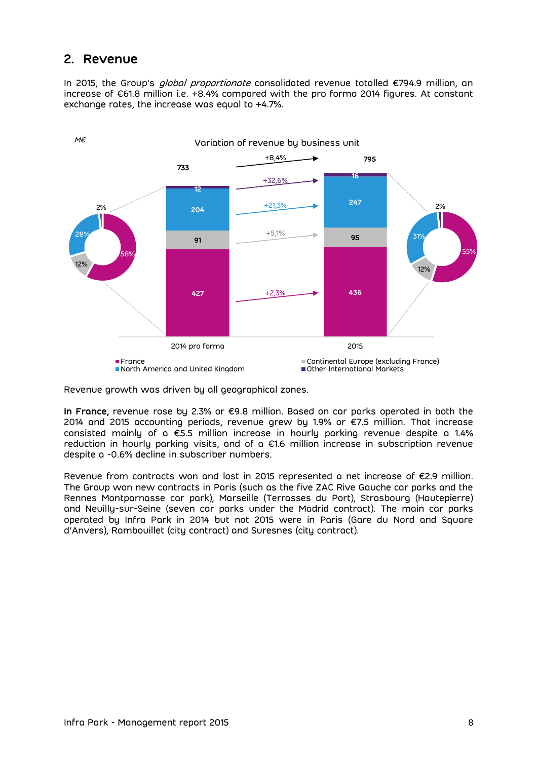# <span id="page-7-0"></span>**2. Revenue**

In 2015, the Group's *global proportionate* consolidated revenue totalled €794.9 million, an increase of €61.8 million i.e. +8.4% compared with the pro forma 2014 figures. At constant exchange rates, the increase was equal to +4.7%.



Revenue growth was driven by all geographical zones.

**In France,** revenue rose by 2.3% or €9.8 million. Based on car parks operated in both the 2014 and 2015 accounting periods, revenue grew by 1.9% or €7.5 million. That increase consisted mainly of a  $\epsilon$ 5.5 million increase in hourly parking revenue despite a 1.4% reduction in hourly parking visits, and of a €1.6 million increase in subscription revenue despite a -0.6% decline in subscriber numbers.

Revenue from contracts won and lost in 2015 represented a net increase of €2.9 million. The Group won new contracts in Paris (such as the five ZAC Rive Gauche car parks and the Rennes Montparnasse car park), Marseille (Terrasses du Port), Strasbourg (Hautepierre) and Neuilly-sur-Seine (seven car parks under the Madrid contract). The main car parks operated by Infra Park in 2014 but not 2015 were in Paris (Gare du Nord and Square d'Anvers), Rambouillet (city contract) and Suresnes (city contract).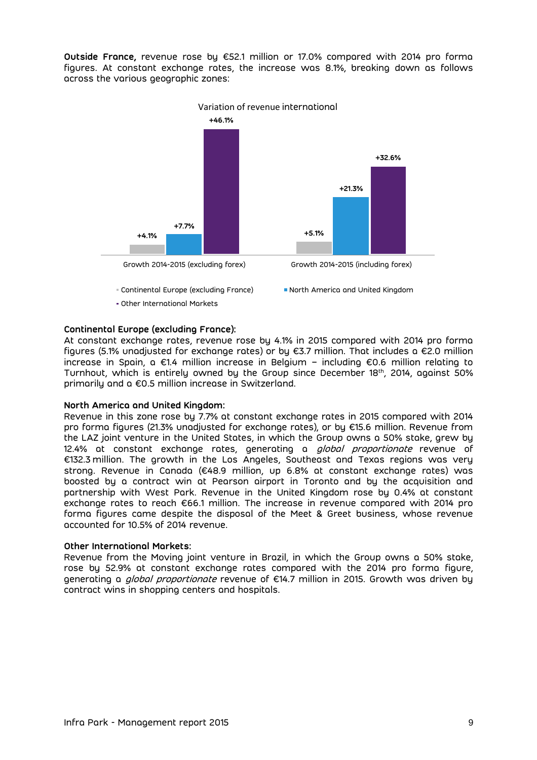**Outside France,** revenue rose by €52.1 million or 17.0% compared with 2014 pro forma figures. At constant exchange rates, the increase was 8.1%, breaking down as follows across the various geographic zones:



#### **Continental Europe (excluding France):**

At constant exchange rates, revenue rose by 4.1% in 2015 compared with 2014 pro forma figures (5.1% unadjusted for exchange rates) or by €3.7 million. That includes a €2.0 million increase in Spain, a €1.4 million increase in Belgium – including €0.6 million relating to Turnhout, which is entirely owned by the Group since December 18th , 2014, against 50% primarily and a €0.5 million increase in Switzerland.

#### **North America and United Kingdom:**

Revenue in this zone rose by 7.7% at constant exchange rates in 2015 compared with 2014 pro forma figures (21.3% unadjusted for exchange rates), or by €15.6 million. Revenue from the LAZ joint venture in the United States, in which the Group owns a 50% stake, grew by 12.4% at constant exchange rates, generating a *global proportionate* revenue of €132.3 million. The growth in the Los Angeles, Southeast and Texas regions was very strong. Revenue in Canada (€48.9 million, up 6.8% at constant exchange rates) was boosted by a contract win at Pearson airport in Toronto and by the acquisition and partnership with West Park. Revenue in the United Kingdom rose by 0.4% at constant exchange rates to reach €66.1 million. The increase in revenue compared with 2014 pro forma figures came despite the disposal of the Meet & Greet business, whose revenue accounted for 10.5% of 2014 revenue.

#### **Other International Markets:**

Revenue from the Moving joint venture in Brazil, in which the Group owns a 50% stake, rose by 52.9% at constant exchange rates compared with the 2014 pro forma figure, generating a *global proportionate* revenue of €14.7 million in 2015. Growth was driven by contract wins in shopping centers and hospitals.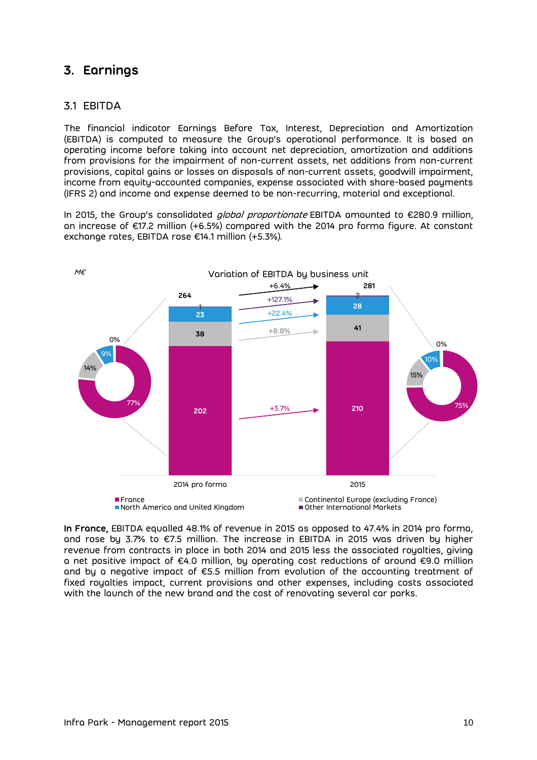# <span id="page-9-0"></span>**3. Earnings**

### <span id="page-9-1"></span>3.1 EBITDA

The financial indicator Earnings Before Tax, Interest, Depreciation and Amortization (EBITDA) is computed to measure the Group's operational performance. It is based on operating income before taking into account net depreciation, amortization and additions from provisions for the impairment of non-current assets, net additions from non-current provisions, capital gains or losses on disposals of non-current assets, goodwill impairment, income from equity-accounted companies, expense associated with share-based payments (IFRS 2) and income and expense deemed to be non-recurring, material and exceptional.

In 2015, the Group's consolidated *global proportionate* EBITDA amounted to €280.9 million, an increase of €17.2 million (+6.5%) compared with the 2014 pro forma figure. At constant exchange rates, EBITDA rose €14.1 million (+5.3%).



**In France,** EBITDA equalled 48.1% of revenue in 2015 as opposed to 47.4% in 2014 pro forma, and rose by 3.7% to €7.5 million. The increase in EBITDA in 2015 was driven by higher revenue from contracts in place in both 2014 and 2015 less the associated royalties, giving a net positive impact of €4.0 million, by operating cost reductions of around €9.0 million and by a negative impact of  $\epsilon$ 5.5 million from evolution of the accounting treatment of fixed royalties impact, current provisions and other expenses, including costs associated with the launch of the new brand and the cost of renovating several car parks.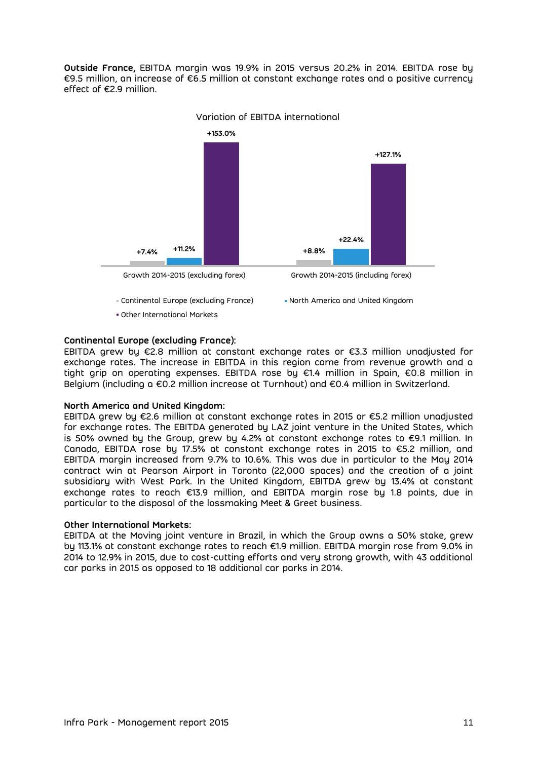**Outside France,** EBITDA margin was 19.9% in 2015 versus 20.2% in 2014. EBITDA rose by €9.5 million, an increase of €6.5 million at constant exchange rates and a positive currency effect of €2.9 million.



Variation of EBITDA international

#### **Continental Europe (excluding France):**

EBITDA grew by €2.8 million at constant exchange rates or €3.3 million unadjusted for exchange rates. The increase in EBITDA in this region came from revenue growth and a tight grip on operating expenses. EBITDA rose by €1.4 million in Spain, €0.8 million in Belgium (including a €0.2 million increase at Turnhout) and €0.4 million in Switzerland.

#### **North America and United Kingdom:**

EBITDA grew by €2.6 million at constant exchange rates in 2015 or €5.2 million unadjusted for exchange rates. The EBITDA generated by LAZ joint venture in the United States, which is 50% owned by the Group, grew by 4.2% at constant exchange rates to €9.1 million. In Canada, EBITDA rose by 17.5% at constant exchange rates in 2015 to €5.2 million, and EBITDA margin increased from 9.7% to 10.6%. This was due in particular to the May 2014 contract win at Pearson Airport in Toronto (22,000 spaces) and the creation of a joint subsidiary with West Park. In the United Kingdom, EBITDA grew by 13.4% at constant exchange rates to reach €13.9 million, and EBITDA margin rose by 1.8 points, due in particular to the disposal of the lossmaking Meet & Greet business.

#### **Other International Markets:**

EBITDA at the Moving joint venture in Brazil, in which the Group owns a 50% stake, grew by 113.1% at constant exchange rates to reach €1.9 million. EBITDA margin rose from 9.0% in 2014 to 12.9% in 2015, due to cost-cutting efforts and very strong growth, with 43 additional car parks in 2015 as opposed to 18 additional car parks in 2014.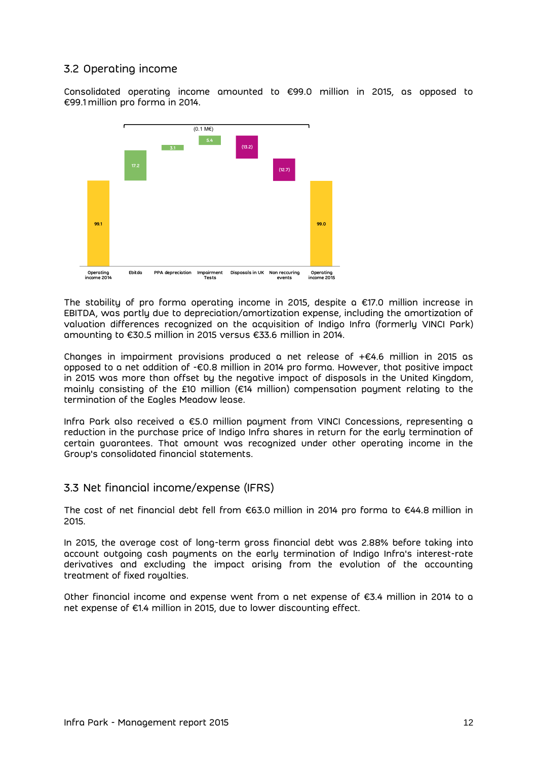## <span id="page-11-0"></span>3.2 Operating income

Consolidated operating income amounted to €99.0 million in 2015, as opposed to €99.1 million pro forma in 2014.



The stability of pro forma operating income in 2015, despite a  $\epsilon$ 17.0 million increase in EBITDA, was partly due to depreciation/amortization expense, including the amortization of valuation differences recognized on the acquisition of Indigo Infra (formerly VINCI Park) amounting to €30.5 million in 2015 versus €33.6 million in 2014.

Changes in impairment provisions produced a net release of +€4.6 million in 2015 as opposed to a net addition of -€0.8 million in 2014 pro forma. However, that positive impact in 2015 was more than offset by the negative impact of disposals in the United Kingdom, mainly consisting of the £10 million (€14 million) compensation payment relating to the termination of the Eagles Meadow lease.

Infra Park also received a €5.0 million payment from VINCI Concessions, representing a reduction in the purchase price of Indigo Infra shares in return for the early termination of certain guarantees. That amount was recognized under other operating income in the Group's consolidated financial statements.

### <span id="page-11-1"></span>3.3 Net financial income/expense (IFRS)

The cost of net financial debt fell from €63.0 million in 2014 pro forma to €44.8 million in 2015.

In 2015, the average cost of long-term gross financial debt was 2.88% before taking into account outgoing cash payments on the early termination of Indigo Infra's interest-rate derivatives and excluding the impact arising from the evolution of the accounting treatment of fixed royalties.

Other financial income and expense went from a net expense of €3.4 million in 2014 to a net expense of €1.4 million in 2015, due to lower discounting effect.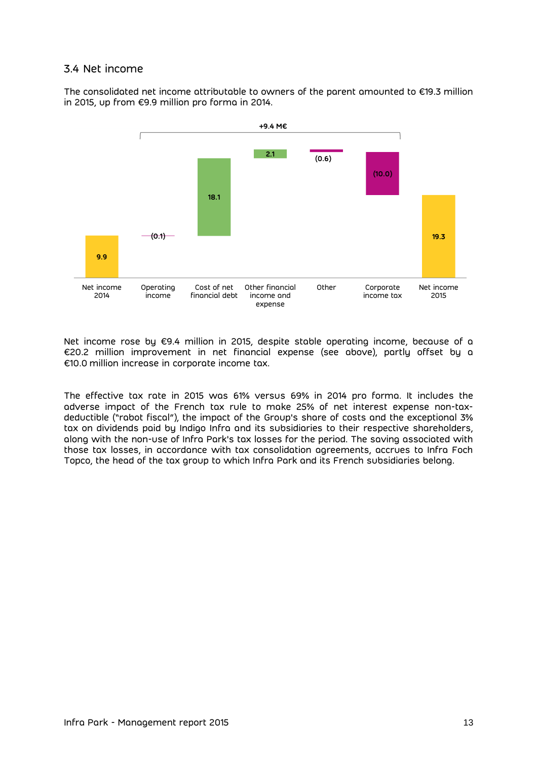### <span id="page-12-0"></span>3.4 Net income

The consolidated net income attributable to owners of the parent amounted to €19.3 million in 2015, up from €9.9 million pro forma in 2014.



Net income rose by €9.4 million in 2015, despite stable operating income, because of a €20.2 million improvement in net financial expense (see above), partly offset by a €10.0 million increase in corporate income tax.

The effective tax rate in 2015 was 61% versus 69% in 2014 pro forma. It includes the adverse impact of the French tax rule to make 25% of net interest expense non-taxdeductible ("rabot fiscal"), the impact of the Group's share of costs and the exceptional 3% tax on dividends paid by Indigo Infra and its subsidiaries to their respective shareholders, along with the non-use of Infra Park's tax losses for the period. The saving associated with those tax losses, in accordance with tax consolidation agreements, accrues to Infra Foch Topco, the head of the tax group to which Infra Park and its French subsidiaries belong.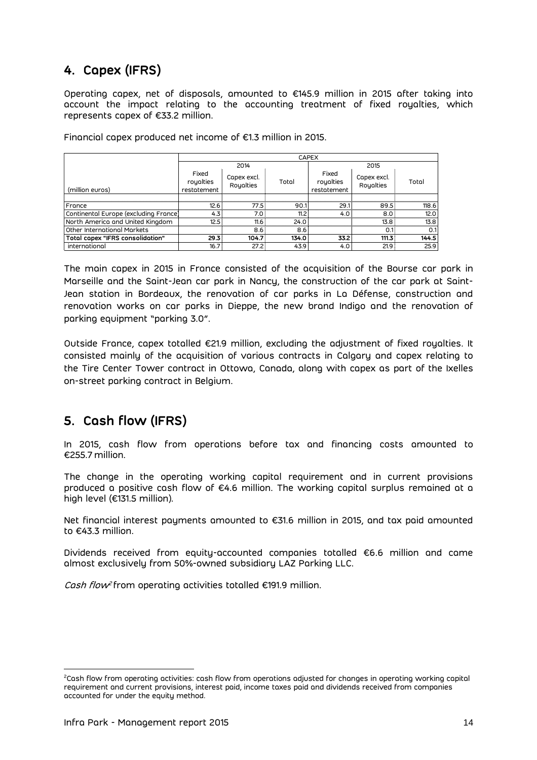# <span id="page-13-0"></span>**4. Capex (IFRS)**

Operating capex, net of disposals, amounted to €145.9 million in 2015 after taking into account the impact relating to the accounting treatment of fixed royalties, which represents capex of €33.2 million.

Financial capex produced net income of €1.3 million in 2015.

|                                                                                                                                                                                                                                                                                                                                                                                                                                                                                                                                                                                                                                                                                        | <b>CAPEX</b> |             |       |             |             |       |  |  |
|----------------------------------------------------------------------------------------------------------------------------------------------------------------------------------------------------------------------------------------------------------------------------------------------------------------------------------------------------------------------------------------------------------------------------------------------------------------------------------------------------------------------------------------------------------------------------------------------------------------------------------------------------------------------------------------|--------------|-------------|-------|-------------|-------------|-------|--|--|
|                                                                                                                                                                                                                                                                                                                                                                                                                                                                                                                                                                                                                                                                                        |              | 2014        |       |             | 2015        |       |  |  |
|                                                                                                                                                                                                                                                                                                                                                                                                                                                                                                                                                                                                                                                                                        | Fixed        | Capex excl. |       | Fixed       | Capex excl. |       |  |  |
|                                                                                                                                                                                                                                                                                                                                                                                                                                                                                                                                                                                                                                                                                        | royalties    | Royalties   | Total | royalties   | Royalties   | Total |  |  |
| (million euros)                                                                                                                                                                                                                                                                                                                                                                                                                                                                                                                                                                                                                                                                        | restatement  |             |       | restatement |             |       |  |  |
| France                                                                                                                                                                                                                                                                                                                                                                                                                                                                                                                                                                                                                                                                                 | 12.6         | 77.5        | 90.1  | 29.1        | 89.5        | 118.6 |  |  |
| Continental Europe (excluding France)                                                                                                                                                                                                                                                                                                                                                                                                                                                                                                                                                                                                                                                  | 4.3          | 7.0         | 11.2  | 4.0         | 8.0         | 12.0  |  |  |
| North America and United Kingdom                                                                                                                                                                                                                                                                                                                                                                                                                                                                                                                                                                                                                                                       | 12.5         | 11.6        | 24.0  |             | 13.8        | 13.8  |  |  |
| Other International Markets                                                                                                                                                                                                                                                                                                                                                                                                                                                                                                                                                                                                                                                            |              | 8.6         | 8.6   |             | 0.1         | 0.1   |  |  |
| Total capex "IFRS consolidation"                                                                                                                                                                                                                                                                                                                                                                                                                                                                                                                                                                                                                                                       | 29.3         | 104.7       | 134.0 | 33.2        | 111.3       | 144.5 |  |  |
| international                                                                                                                                                                                                                                                                                                                                                                                                                                                                                                                                                                                                                                                                          | 16.7         | 27.2        | 43.9  | 4.0         | 21.9        | 25.9  |  |  |
| The main capex in 2015 in France consisted of the acquisition of the Bourse car<br>Marseille and the Saint-Jean car park in Nancy, the construction of the car park a<br>Jean station in Bordeaux, the renovation of car parks in La Défense, construct<br>renovation works on car parks in Dieppe, the new brand Indigo and the renove<br>parking equipment "parking 3.0".<br>Outside France, capex totalled €21.9 million, excluding the adjustment of fixed roy<br>consisted mainly of the acquisition of various contracts in Calgary and capex rel<br>the Tire Center Tower contract in Ottowa, Canada, along with capex as part of the<br>on-street parking contract in Belgium. |              |             |       |             |             |       |  |  |
| 5. Cash flow (IFRS)<br>In 2015, cash flow from operations before tax and financing costs amour<br>€255.7 million.                                                                                                                                                                                                                                                                                                                                                                                                                                                                                                                                                                      |              |             |       |             |             |       |  |  |
| The change in the operating working capital requirement and in current pro<br>produced a positive cash flow of €4.6 million. The working capital surplus remair<br>high level (€131.5 million).                                                                                                                                                                                                                                                                                                                                                                                                                                                                                        |              |             |       |             |             |       |  |  |
| Net financial interest payments amounted to €31.6 million in 2015, and tax paid an<br>to €43.3 million.                                                                                                                                                                                                                                                                                                                                                                                                                                                                                                                                                                                |              |             |       |             |             |       |  |  |
| Dividends received from equity-accounted companies totalled €6.6 million and<br>almost exclusively from 50%-owned subsidiary LAZ Parking LLC.                                                                                                                                                                                                                                                                                                                                                                                                                                                                                                                                          |              |             |       |             |             |       |  |  |
| Cash flow <sup>2</sup> from operating activities totalled €191.9 million.                                                                                                                                                                                                                                                                                                                                                                                                                                                                                                                                                                                                              |              |             |       |             |             |       |  |  |
| <sup>2</sup> Cash flow from operating activities: cash flow from operations adjusted for changes in operating workir<br>requirement and current provisions, interest paid, income taxes paid and dividends received from compa<br>accounted for under the equity method.                                                                                                                                                                                                                                                                                                                                                                                                               |              |             |       |             |             |       |  |  |

The main capex in 2015 in France consisted of the acquisition of the Bourse car park in Marseille and the Saint-Jean car park in Nancy, the construction of the car park at Saint-Jean station in Bordeaux, the renovation of car parks in La Défense, construction and renovation works on car parks in Dieppe, the new brand Indigo and the renovation of parking equipment "parking 3.0".

Outside France, capex totalled €21.9 million, excluding the adjustment of fixed royalties. It consisted mainly of the acquisition of various contracts in Calgary and capex relating to the Tire Center Tower contract in Ottowa, Canada, along with capex as part of the Ixelles on-street parking contract in Belgium.

# <span id="page-13-1"></span>**5. Cash flow (IFRS)**

In 2015, cash flow from operations before tax and financing costs amounted to €255.7 million.

The change in the operating working capital requirement and in current provisions produced a positive cash flow of €4.6 million. The working capital surplus remained at a high level (€131.5 million).

Net financial interest payments amounted to €31.6 million in 2015, and tax paid amounted to €43.3 million.

Dividends received from equity-accounted companies totalled €6.6 million and came almost exclusively from 50%-owned subsidiary LAZ Parking LLC.

 $\overline{a}$ <sup>2</sup>Cash flow from operating activities: cash flow from operations adjusted for changes in operating working capital requirement and current provisions, interest paid, income taxes paid and dividends received from companies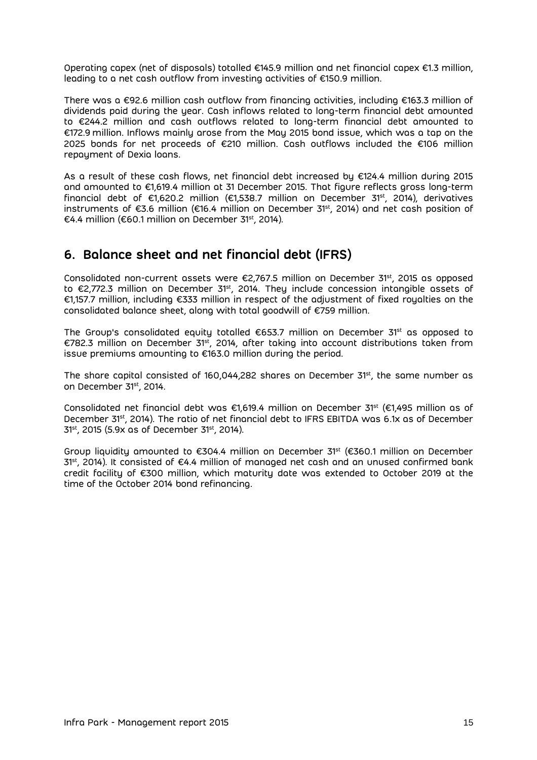Operating capex (net of disposals) totalled €145.9 million and net financial capex €1.3 million, leading to a net cash outflow from investing activities of €150.9 million.

There was a €92.6 million cash outflow from financing activities, including €163.3 million of dividends paid during the year. Cash inflows related to long-term financial debt amounted to €244.2 million and cash outflows related to long-term financial debt amounted to €172.9 million. Inflows mainly arose from the May 2015 bond issue, which was a tap on the 2025 bonds for net proceeds of €210 million. Cash outflows included the €106 million repayment of Dexia loans.

As a result of these cash flows, net financial debt increased by €124.4 million during 2015 and amounted to €1,619.4 million at 31 December 2015. That figure reflects gross long-term financial debt of €1,620.2 million (€1,538.7 million on December 31<sup>st</sup>, 2014), derivatives instruments of €3.6 million (€16.4 million on December 31st , 2014) and net cash position of €4.4 million (€60.1 million on December 31st , 2014).

# <span id="page-14-0"></span>**6. Balance sheet and net financial debt (IFRS)**

Consolidated non-current assets were  $\bm{\epsilon}$ 2,767.5 million on December 31 $^{\rm st}$ , 2015 as opposed to €2,772.3 million on December 31st, 2014. They include concession intangible assets of €1,157.7 million, including €333 million in respect of the adjustment of fixed royalties on the consolidated balance sheet, along with total goodwill of €759 million.

The Group's consolidated equity totalled  $\epsilon$ 653.7 million on December 31<sup>st</sup> as opposed to €782.3 million on December 31st, 2014, after taking into account distributions taken from issue premiums amounting to €163.0 million during the period.

The share capital consisted of 160,044,282 shares on December 31st , the same number as on December 31st , 2014.

Consolidated net financial debt was €1,619.4 million on December 31<sup>st</sup> (€1,495 million as of December 31<sup>st</sup>, 2014). The ratio of net financial debt to IFRS EBITDA was 6.1x as of December 31st, 2015 (5.9x as of December 31st, 2014).

Group liquidity amounted to  $\epsilon$ 304.4 million on December 31<sup>st</sup> ( $\epsilon$ 360.1 million on December 31<sup>st</sup>, 2014). It consisted of €4.4 million of managed net cash and an unused confirmed bank credit facility of €300 million, which maturity date was extended to October 2019 at the time of the October 2014 bond refinancing.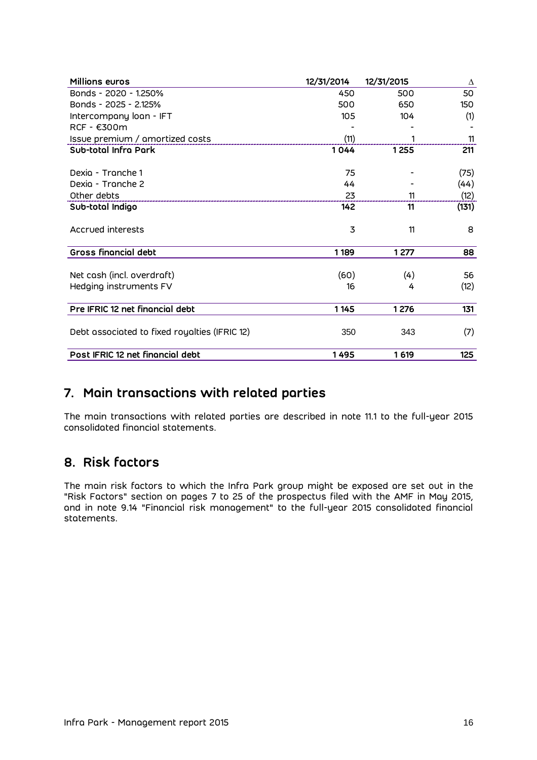| <b>Millions euros</b>                         | 12/31/2014 | 12/31/2015 | Δ     |
|-----------------------------------------------|------------|------------|-------|
| Bonds - 2020 - 1.250%                         | 450        | 500        | 50    |
| Bonds - 2025 - 2.125%                         | 500        | 650        | 150   |
| Intercompany loan - IFT                       | 105        | 104        | (1)   |
| RCF - €300m                                   |            |            |       |
| Issue premium / amortized costs               | (11)       |            | 11    |
| Sub-total Infra Park                          | 1044       | 1255       | 211   |
| Dexig - Tranche 1                             | 75         |            | (75)  |
| Dexig - Tranche 2                             | 44         |            | (44)  |
| Other debts                                   | 23         | 11         | (12)  |
| Sub-total Indigo                              | 142        | 11         | (131) |
| Accrued interests                             | 3          | 11         | 8     |
| <b>Gross financial debt</b>                   | 1189       | 1277       | 88    |
| Net cash (incl. overdraft)                    | (60)       | (4)        | 56    |
| Hedging instruments FV                        | 16         | 4          | (12)  |
| Pre IFRIC 12 net financial debt               | 1 1 4 5    | 1 2 7 6    | 131   |
| Debt associated to fixed royalties (IFRIC 12) | 350        | 343        | (7)   |
| Post IFRIC 12 net financial debt              | 1495       | 1619       | 125   |

# <span id="page-15-0"></span>**7. Main transactions with related parties**

The main transactions with related parties are described in note 11.1 to the full-year 2015 consolidated financial statements.

# <span id="page-15-1"></span>**8. Risk factors**

The main risk factors to which the Infra Park group might be exposed are set out in the "Risk Factors" section on pages 7 to 25 of the prospectus filed with the AMF in May 2015, and in note 9.14 "Financial risk management" to the full-year 2015 consolidated financial statements.